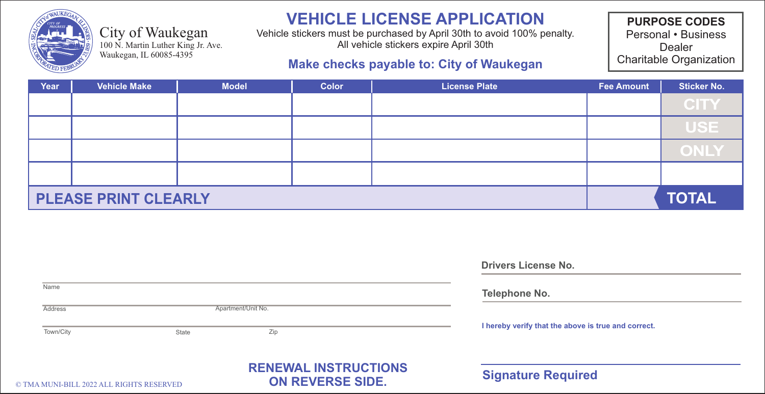

#### City of Waukegan

100 N. Martin Luther King Jr. Ave. Waukegan, IL 60085-4395

# **VEHICLE LICENSE APPLICATION**

Vehicle stickers must be purchased by April 30th to avoid 100% penalty. All vehicle stickers expire April 30th

### **Make checks payable to: City of Waukegan**

**PURPOSE CODES** Personal • Business Dealer Charitable Organization

| Year | <b>Vehicle Make</b>         | <b>Model</b> | <b>Color</b> | <b>License Plate</b> | <b>Fee Amount</b> | <b>Sticker No.</b> |
|------|-----------------------------|--------------|--------------|----------------------|-------------------|--------------------|
|      |                             |              |              |                      |                   | <b>CITY</b>        |
|      |                             |              |              |                      |                   | <b>USE</b>         |
|      |                             |              |              |                      |                   | <b>ONLY</b>        |
|      |                             |              |              |                      |                   |                    |
|      | <b>PLEASE PRINT CLEARLY</b> |              | <b>TOTAL</b> |                      |                   |                    |

| Name                                |       |                                                | Telephone No.                                       |  |  |
|-------------------------------------|-------|------------------------------------------------|-----------------------------------------------------|--|--|
| Address                             |       | Apartment/Unit No.                             |                                                     |  |  |
| Town/City                           | State | Zip                                            | I hereby verify that the above is true and correct. |  |  |
| MENT DILL 2022 ATT DICTITE DECEDVED |       | <b>RENEWAL INSTRUCTIONS</b><br>ON REVERSE SIDE | <b>Signature Required</b>                           |  |  |

**Drivers License No.**

© TMA MUNI-BILL 2022 ALL RIGHTS RESERVED